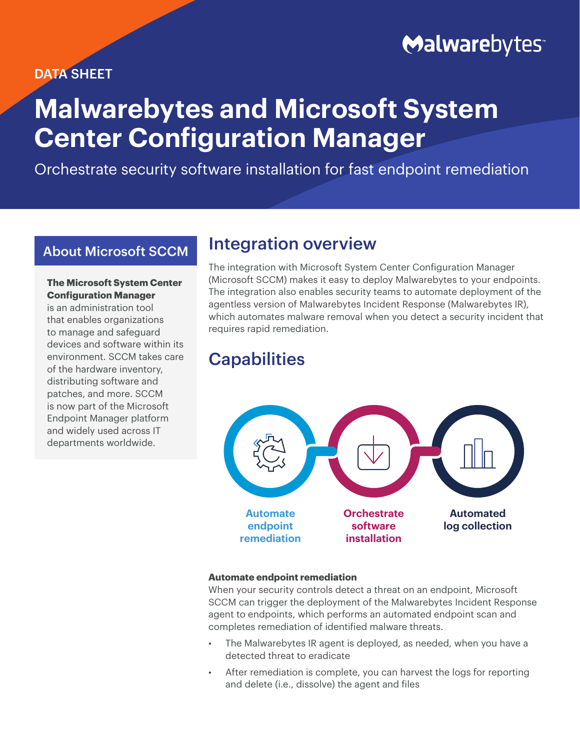### DATA SHEET

# **Malwarebytes**

# **Malwarebytes and Microsoft System Center Configuration Manager**

Orchestrate security software installation for fast endpoint remediation

### About Microsoft SCCM

### **The Microsoft System Center Configuration Manager**

is an administration tool that enables organizations to manage and safeguard devices and software within its environment. SCCM takes care of the hardware inventory, distributing software and patches, and more. SCCM is now part of the Microsoft Endpoint Manager platform and widely used across IT departments worldwide.

## Integration overview

The integration with Microsoft System Center Configuration Manager (Microsoft SCCM) makes it easy to deploy Malwarebytes to your endpoints. The integration also enables security teams to automate deployment of the agentless version of Malwarebytes Incident Response (Malwarebytes IR), which automates malware removal when you detect a security incident that requires rapid remediation.

# **Capabilities**



### **Automate endpoint remediation**

When your security controls detect a threat on an endpoint, Microsoft SCCM can trigger the deployment of the Malwarebytes Incident Response agent to endpoints, which performs an automated endpoint scan and completes remediation of identified malware threats.

- The Malwarebytes IR agent is deployed, as needed, when you have a detected threat to eradicate
- After remediation is complete, you can harvest the logs for reporting and delete (i.e., dissolve) the agent and files